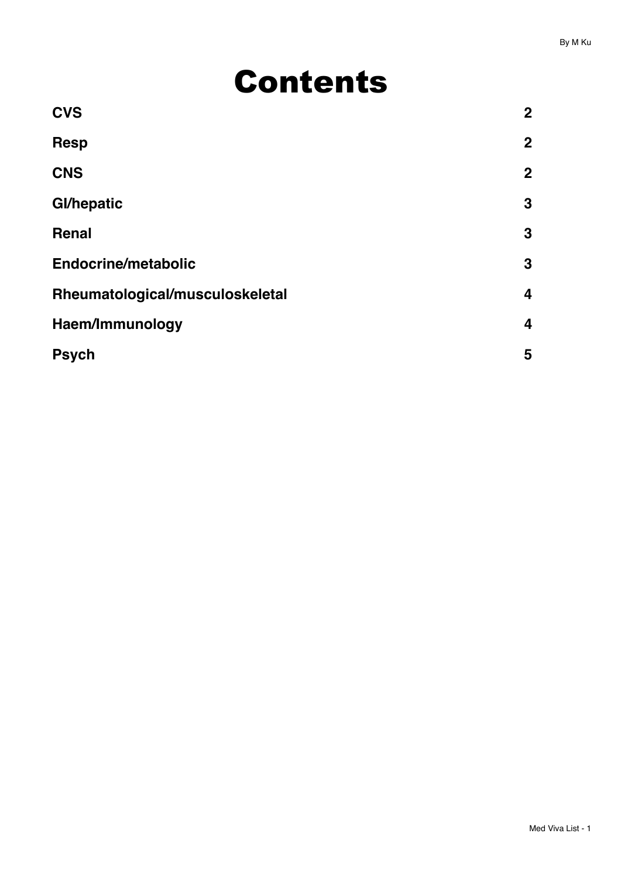# Contents

| <b>CVS</b>                      | $\overline{2}$ |
|---------------------------------|----------------|
| <b>Resp</b>                     | $\overline{2}$ |
| <b>CNS</b>                      | $\overline{2}$ |
| <b>Gl/hepatic</b>               | 3              |
| Renal                           | 3              |
| <b>Endocrine/metabolic</b>      | 3              |
| Rheumatological/musculoskeletal | 4              |
| Haem/Immunology                 | 4              |
| <b>Psych</b>                    | 5              |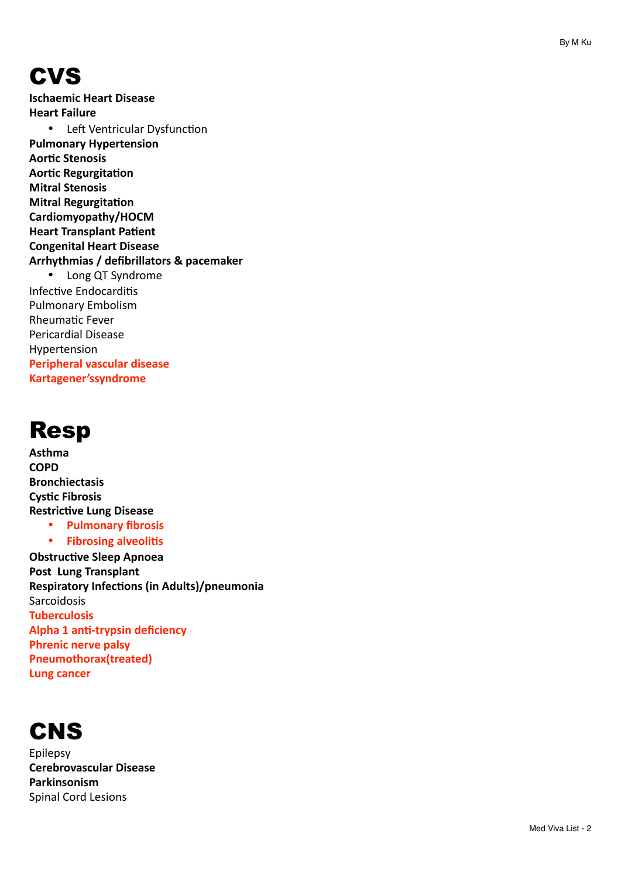## <span id="page-1-0"></span>**CVS**

**Ischaemic Heart Disease Heart Failure** • Left Ventricular Dysfunction **Pulmonary Hypertension Aortic Stenosis Aortic Regurgitation Mitral Stenosis Mitral Regurgitation Cardiomyopathy/HOCM Heart Transplant Patient Congenital Heart Disease Arrhythmias / defibrillators & pacemaker** • Long QT Syndrome Infective Endocarditis Pulmonary Embolism Rheumatic Fever Pericardial Disease Hypertension **Peripheral vascular disease Kartagener'ssyndrome**

#### <span id="page-1-1"></span>Resp

**Asthma COPD Bronchiectasis Cystic Fibrosis Restrictive Lung Disease** • **Pulmonary fibrosis •** Fibrosing alveolitis **Obstructive Sleep Apnoea Post Lung Transplant Respiratory Infections (in Adults)/pneumonia** Sarcoidosis **Tuberculosis Alpha 1 anti-trypsin deficiency Phrenic nerve palsy Pneumothorax(treated) Lung cancer** 

<span id="page-1-2"></span>

Epilepsy **Cerebrovascular Disease Parkinsonism** Spinal Cord Lesions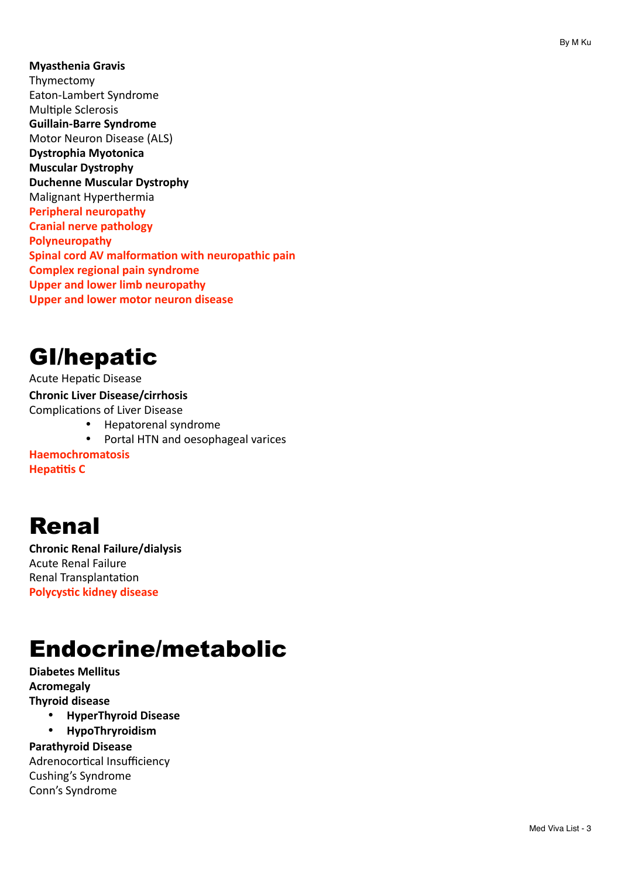**Myasthenia Gravis** Thymectomy Eaton-Lambert Syndrome Multiple Sclerosis **Guillain-Barre Syndrome** Motor Neuron Disease (ALS) **Dystrophia Myotonica Muscular Dystrophy Duchenne Muscular Dystrophy** Malignant Hyperthermia **Peripheral neuropathy Cranial nerve pathology Polyneuropathy Spinal cord AV malformation with neuropathic pain Complex regional pain syndrome Upper and lower limb neuropathy Upper and lower motor neuron disease** 

## <span id="page-2-0"></span>GI/hepatic

Acute Hepatic Disease **Chronic Liver Disease/cirrhosis**  Complications of Liver Disease

- Hepatorenal syndrome
- Portal HTN and oesophageal varices

**Haemochromatosis Hepatitis C** 

## <span id="page-2-1"></span>Renal

**Chronic Renal Failure/dialysis** Acute Renal Failure Renal Transplantation **Polycystic kidney disease** 

# <span id="page-2-2"></span>Endocrine/metabolic

**Diabetes Mellitus Acromegaly Thyroid disease** 

- **HyperThyroid Disease**
- **HypoThryroidism**

**Parathyroid Disease** Adrenocortical Insufficiency Cushing's Syndrome Conn's Syndrome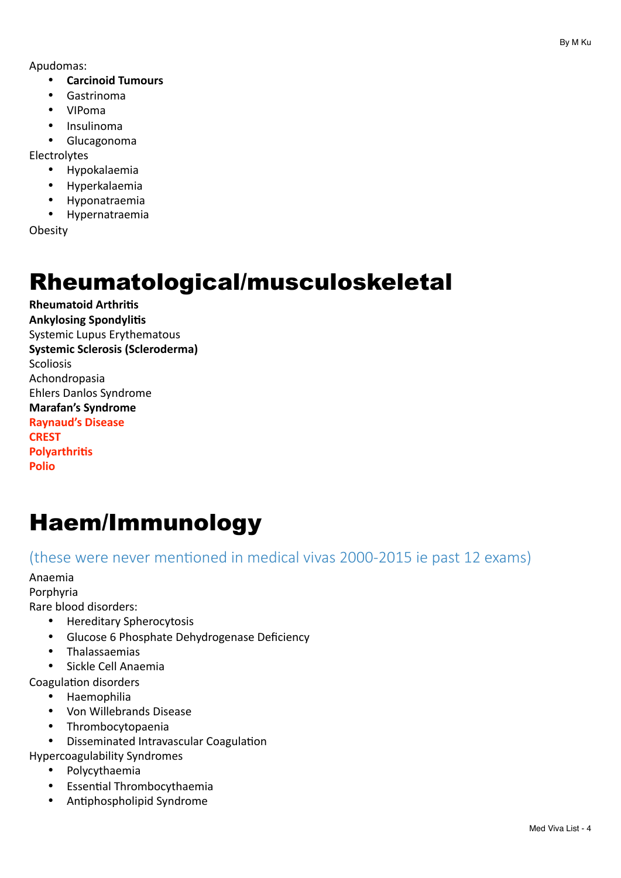Apudomas: 

- **Carcinoid Tumours**
- Gastrinoma
- VIPoma
- Insulinoma
- Glucagonoma

Electrolytes 

- Hypokalaemia
- Hyperkalaemia
- Hyponatraemia
- Hypernatraemia

**Obesity** 

## <span id="page-3-0"></span>Rheumatological/musculoskeletal

**Rheumatoid Arthritis Ankylosing Spondylitis** Systemic Lupus Erythematous **Systemic Sclerosis (Scleroderma)** Scoliosis Achondropasia Ehlers Danlos Syndrome **Marafan's Syndrome Raynaud's Disease CREST Polyarthritis Polio**

# <span id="page-3-1"></span>Haem/Immunology

(these were never mentioned in medical vivas 2000-2015 ie past 12 exams)

Anaemia 

Porphyria 

Rare blood disorders:

- Hereditary Spherocytosis
- Glucose 6 Phosphate Dehydrogenase Deficiency
- Thalassaemias
- Sickle Cell Anaemia

Coagulation disorders

- Haemophilia
- Von Willebrands Disease
- Thrombocytopaenia
- Disseminated Intravascular Coagulation

Hypercoagulability Syndromes 

- Polycythaemia
- Essential Thrombocythaemia
- Antiphospholipid Syndrome